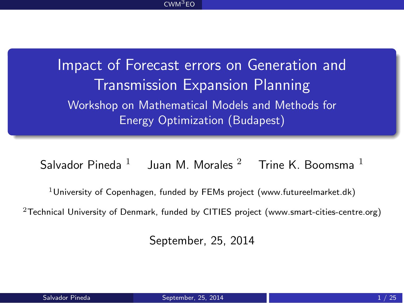<span id="page-0-0"></span>Impact of Forecast errors on Generation and Transmission Expansion Planning Workshop on Mathematical Models and Methods for Energy Optimization (Budapest)

Salvador Pineda  $^1-$  Juan M. Morales  $^2-$  Trine K. Boomsma  $^1$ 

<sup>1</sup>University of Copenhagen, funded by FEMs project (www.futureelmarket.dk)

 $2$ Technical University of Denmark, funded by CITIES project (www.smart-cities-centre.org)

September, 25, 2014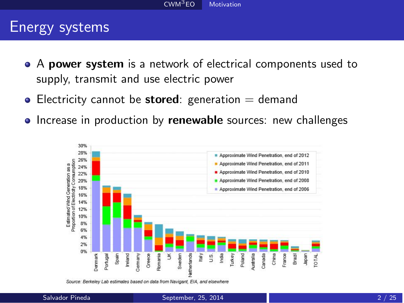#### <span id="page-1-0"></span>Energy systems

- A **power system** is a network of electrical components used to supply, transmit and use electric power
- $\bullet$  Electricity cannot be **stored**: generation  $=$  demand
- **•** Increase in production by **renewable** sources: new challenges



Source: Berkeley Lab estimates based on data from Navigant, EIA, and elsewhere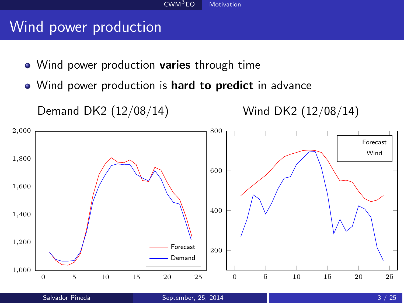#### <span id="page-2-0"></span>Wind power production

- Wind power production **varies** through time
- Wind power production is **hard to predict** in advance

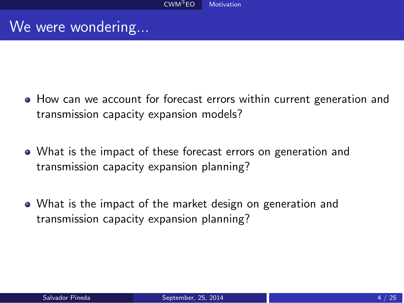#### <span id="page-3-0"></span>We were wondering...

- How can we account for forecast errors within current generation and transmission capacity expansion models?
- What is the impact of these forecast errors on generation and transmission capacity expansion planning?
- What is the impact of the market design on generation and transmission capacity expansion planning?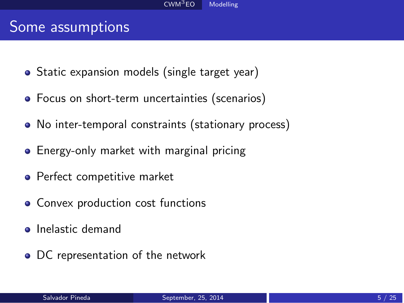#### <span id="page-4-0"></span>Some assumptions

- Static expansion models (single target year)
- Focus on short-term uncertainties (scenarios)
- No inter-temporal constraints (stationary process)
- **•** Energy-only market with marginal pricing
- Perfect competitive market
- Convex production cost functions
- **o** Inelastic demand
- DC representation of the network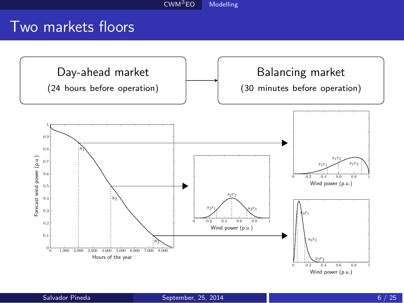#### <span id="page-5-0"></span>Two markets floors

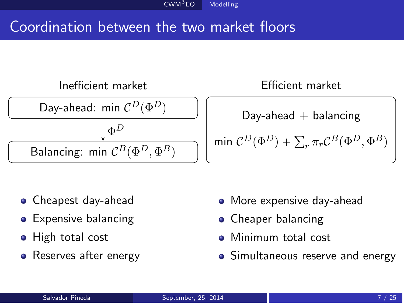#### <span id="page-6-0"></span>Coordination between the two market floors



- Cheapest day-ahead
- **•** Expensive balancing
- High total cost
- Reserves after energy
- More expensive day-ahead
- Cheaper balancing
- Minimum total cost
- Simultaneous reserve and energy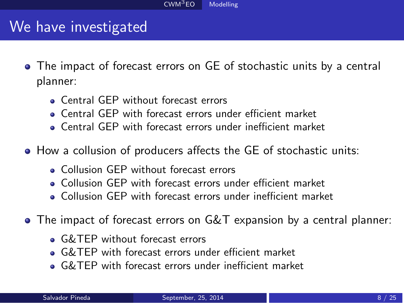#### <span id="page-7-0"></span>We have investigated

- The impact of forecast errors on GE of stochastic units by a central planner:
	- **Central GEP** without forecast errors
	- Central GEP with forecast errors under efficient market
	- Central GEP with forecast errors under inefficient market
- How a collusion of producers affects the GE of stochastic units:
	- Collusion GEP without forecast errors
	- Collusion GEP with forecast errors under efficient market
	- Collusion GEP with forecast errors under inefficient market
- The impact of forecast errors on G&T expansion by a central planner:
	- **G&TEP** without forecast errors
	- G&TEP with forecast errors under efficient market
	- G&TEP with forecast errors under inefficient market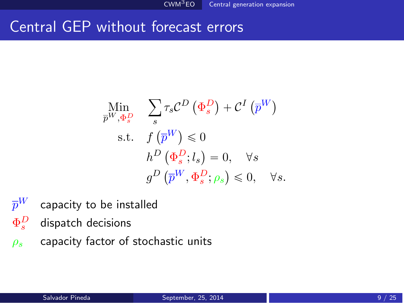#### <span id="page-8-0"></span>Central GEP without forecast errors

$$
\begin{aligned}\n\underset{\overline{p}^{W}, \Phi_{s}^{D}}{\text{Min}} \quad & \sum_{s} \tau_{s} \mathcal{C}^{D} \left( \Phi_{s}^{D} \right) + \mathcal{C}^{I} \left( \overline{p}^{W} \right) \\
\text{s.t.} \quad & f \left( \overline{p}^{W} \right) \leq 0 \\
& h^{D} \left( \Phi_{s}^{D}; l_{s} \right) = 0, \quad \forall s \\
& g^{D} \left( \overline{p}^{W}, \Phi_{s}^{D}; \rho_{s} \right) \leq 0, \quad \forall s.\n\end{aligned}
$$

- $\bar{p}^W$  capacity to be installed
- $\Phi^D_s$ *<sup>s</sup>* dispatch decisions
- *ρ<sup>s</sup>* capacity factor of stochastic units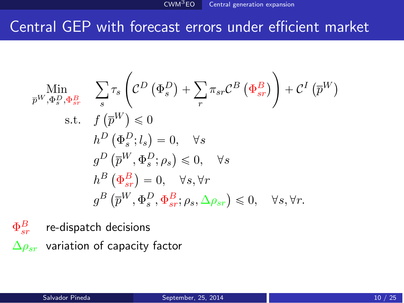#### <span id="page-9-0"></span>Central GEP with forecast errors under efficient market

$$
\begin{aligned}\n\min_{\bar{p}^{W}, \Phi_{s}^{D}, \Phi_{sr}^{B}} &\quad & \sum_{s} \tau_{s} \left( \mathcal{C}^{D} \left( \Phi_{s}^{D} \right) + \sum_{r} \pi_{sr} \mathcal{C}^{B} \left( \Phi_{sr}^{B} \right) \right) + \mathcal{C}^{I} \left( \bar{p}^{W} \right) \\
&\text{s.t.} \quad f \left( \bar{p}^{W} \right) \leq 0 \\
&\quad & h^{D} \left( \Phi_{s}^{D}; l_{s} \right) = 0, \quad \forall s \\
&\quad & g^{D} \left( \bar{p}^{W}, \Phi_{s}^{D}; \rho_{s} \right) \leq 0, \quad \forall s \\
&\quad & h^{B} \left( \Phi_{sr}^{B} \right) = 0, \quad \forall s, \forall r \\
&\quad & g^{B} \left( \bar{p}^{W}, \Phi_{s}^{D}, \Phi_{sr}^{B}; \rho_{s}, \Delta \rho_{sr} \right) \leq 0, \quad \forall s, \forall r.\n\end{aligned}
$$

 $\Phi^B_{s\bar{\imath}}$ re-dispatch decisions ∆*ρsr* variation of capacity factor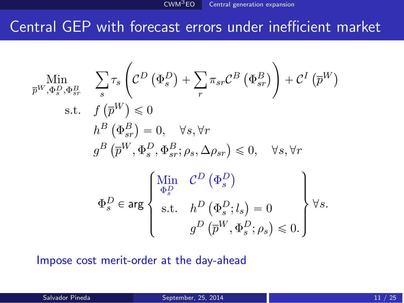#### <span id="page-10-0"></span>Central GEP with forecast errors under inefficient market

$$
\begin{aligned}\n\min_{\overline{p}^{W}, \Phi_{s}^{D}, \Phi_{sr}^{B}} \quad & \sum_{s} \tau_{s} \left( \mathcal{C}^{D} \left( \Phi_{s}^{D} \right) + \sum_{r} \pi_{sr} \mathcal{C}^{B} \left( \Phi_{sr}^{B} \right) \right) + \mathcal{C}^{I} \left( \overline{p}^{W} \right) \\
\text{s.t.} \quad & f \left( \overline{p}^{W} \right) \leq 0 \\
& h^{B} \left( \Phi_{sr}^{B} \right) = 0, \quad \forall s, \forall r \\
& g^{B} \left( \overline{p}^{W}, \Phi_{s}^{D}, \Phi_{sr}^{B}; \rho_{s}, \Delta \rho_{sr} \right) \leq 0, \quad \forall s, \forall r \\
& \Phi_{s}^{D} \in \arg \left\{ \begin{array}{c}\n\frac{\text{Min}}{\Phi_{s}^{D}} & \mathcal{C}^{D} \left( \Phi_{s}^{D} \right) \\
\text{s.t.} \quad & h^{D} \left( \Phi_{s}^{D}; l_{s} \right) = 0 \\
\text{s.t.} \quad & h^{D} \left( \Phi_{s}^{D}; l_{s} \right) = 0 \\
& g^{D} \left( \overline{p}^{W}, \Phi_{s}^{D}; \rho_{s} \right) \leq 0.\n\end{array} \right\} \forall s.\n\end{aligned}
$$

Impose cost merit-order at the day-ahead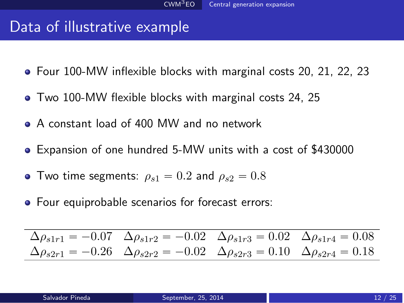#### <span id="page-11-0"></span>Data of illustrative example

- Four 100-MW inflexible blocks with marginal costs 20, 21, 22, 23
- Two 100-MW flexible blocks with marginal costs 24, 25
- A constant load of 400 MW and no network
- Expansion of one hundred 5-MW units with a cost of \$430000
- Two time segments:  $\rho_{s1} = 0.2$  and  $\rho_{s2} = 0.8$
- Four equiprobable scenarios for forecast errors:

$$
\Delta \rho_{s1r1} = -0.07 \quad \Delta \rho_{s1r2} = -0.02 \quad \Delta \rho_{s1r3} = 0.02 \quad \Delta \rho_{s1r4} = 0.08
$$
  
\n
$$
\Delta \rho_{s2r1} = -0.26 \quad \Delta \rho_{s2r2} = -0.02 \quad \Delta \rho_{s2r3} = 0.10 \quad \Delta \rho_{s2r4} = 0.18
$$

Ē.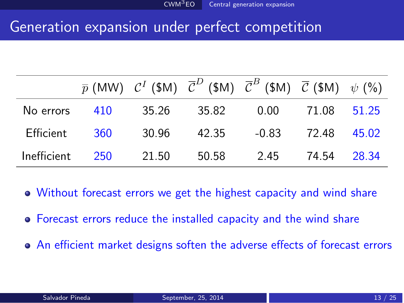#### <span id="page-12-0"></span>Generation expansion under perfect competition

|                 |       |       | $\overline{p}$ (MW) $C^I$ (\$M) $\overline{C}^D$ (\$M) $\overline{C}^B$ (\$M) $\overline{C}$ (\$M) $\psi$ (%) |       |             |  |
|-----------------|-------|-------|---------------------------------------------------------------------------------------------------------------|-------|-------------|--|
| No errors       | - 410 | 35.26 | 35.82                                                                                                         | 0.00  | 71.08 51.25 |  |
| Efficient       | 360   | 30.96 | 42.35                                                                                                         | -0.83 | 72.48 45.02 |  |
| Inefficient 250 |       | 21.50 | 50.58                                                                                                         | 2.45  | 74.54 28.34 |  |

- Without forecast errors we get the highest capacity and wind share
- Forecast errors reduce the installed capacity and the wind share
- An efficient market designs soften the adverse effects of forecast errors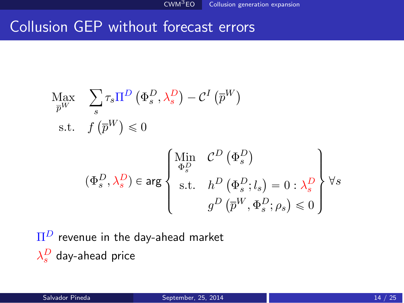#### <span id="page-13-0"></span>Collusion GEP without forecast errors

$$
\begin{aligned}\n\text{Max} & \sum_{s} \tau_{s} \Pi^{D} \left( \Phi_{s}^{D}, \lambda_{s}^{D} \right) - \mathcal{C}^{I} \left( \overline{p}^{W} \right) \\
\text{s.t.} & f \left( \overline{p}^{W} \right) \leq 0 \\
(\Phi_{s}^{D}, \lambda_{s}^{D}) \in \text{arg} \left\{ \begin{array}{l}\n\text{Min} & \mathcal{C}^{D} \left( \Phi_{s}^{D} \right) \\
\Phi_{s}^{D} & \text{s.t.} & h^{D} \left( \Phi_{s}^{D}; l_{s} \right) = 0 : \lambda_{s}^{D} \\
g^{D} \left( \overline{p}^{W}, \Phi_{s}^{D}; \rho_{s} \right) \leq 0\n\end{array} \right\} \forall s\n\end{aligned}
$$

Π*<sup>D</sup>* revenue in the day-ahead market  $\lambda_s^D$  day-ahead price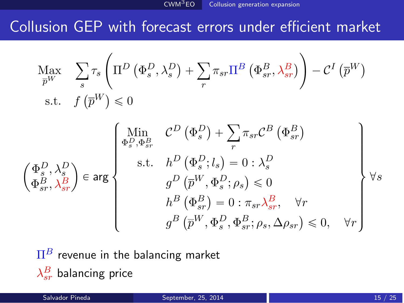#### <span id="page-14-0"></span>Collusion GEP with forecast errors under efficient market

$$
\begin{aligned}\n\max_{\overline{p}^W} & \sum_{s} \tau_s \left( \Pi^D \left( \Phi_s^D, \lambda_s^D \right) + \sum_{r} \pi_{sr} \Pi^B \left( \Phi_{sr}^B, \lambda_{sr}^B \right) \right) - \mathcal{C}^I \left( \overline{p}^W \right) \\
\text{s.t.} & f \left( \overline{p}^W \right) \leq 0\n\end{aligned}
$$

$$
\begin{pmatrix}\n\Phi_{s}^{D}, \lambda_{s}^{D} \\
\Phi_{s}^{D}, \Phi_{sr}^{B} \\
\Phi_{sr}^{B}, \lambda_{sr}^{B}\n\end{pmatrix} \in \arg \left\{\n\begin{array}{c}\n\Phi_{s}^{D}, \Phi_{sr}^{B} & \mathcal{C}^{D} \left(\Phi_{s}^{D}\right) + \sum_{r} \pi_{sr} \mathcal{C}^{B} \left(\Phi_{sr}^{B}\right) \\
\text{s.t.} & h^{D} \left(\Phi_{s}^{D}; l_{s}\right) = 0 : \lambda_{s}^{D} \\
g^{D} \left(\overline{p}^{W}, \Phi_{s}^{D}; \rho_{s}\right) \leq 0 \\
h^{B} \left(\Phi_{sr}^{B}\right) = 0 : \pi_{sr} \lambda_{sr}^{B}, \quad \forall r \\
g^{B} \left(\overline{p}^{W}, \Phi_{s}^{D}, \Phi_{sr}^{B}; \rho_{s}, \Delta \rho_{sr}\right) \leq 0, \quad \forall r\n\end{array}\n\right\} \forall s
$$

 $\Pi^B$  revenue in the balancing market  $\lambda_{sr}^B$  balancing price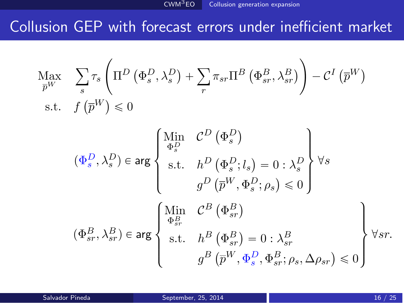#### <span id="page-15-0"></span>Collusion GEP with forecast errors under inefficient market

$$
\begin{aligned}\n\text{Max} \quad & \sum_{s} \tau_{s} \left( \Pi^{D} \left( \Phi_{s}^{D}, \lambda_{s}^{D} \right) + \sum_{r} \pi_{sr} \Pi^{B} \left( \Phi_{sr}^{B}, \lambda_{sr}^{B} \right) \right) - \mathcal{C}^{I} \left( \overline{p}^{W} \right) \\
\text{s.t.} \quad & f \left( \overline{p}^{W} \right) \leq 0 \\
(\Phi_{s}^{D}, \lambda_{s}^{D}) \in \text{arg} \left\{ \begin{array}{l}\n\text{Min} \quad & \mathcal{C}^{D} \left( \Phi_{s}^{D} \right) \\
\Phi_{s}^{D} \quad & \\
\text{s.t.} \quad & h^{D} \left( \Phi_{s}^{D}; l_{s} \right) = 0 : \lambda_{s}^{D} \\
g^{D} \left( \overline{p}^{W}, \Phi_{s}^{D}; \rho_{s} \right) \leq 0\n\end{array} \right\} \\
\forall s \\
(\Phi_{sr}^{B}, \lambda_{sr}^{B}) \in \text{arg} \left\{ \begin{array}{l}\n\text{Min} \quad & \mathcal{C}^{B} \left( \Phi_{sr}^{B} \right) \\
\Phi_{sr}^{B} \quad & \\
\text{s.t.} \quad & h^{B} \left( \Phi_{sr}^{B} \right) = 0 : \lambda_{sr}^{B} \\
g^{B} \left( \overline{p}^{W}, \Phi_{s}^{D}, \Phi_{sr}^{B}; \rho_{s}, \Delta \rho_{sr} \right) \leq 0\n\end{array} \right\} \\
\forall sr.\n\end{aligned}
$$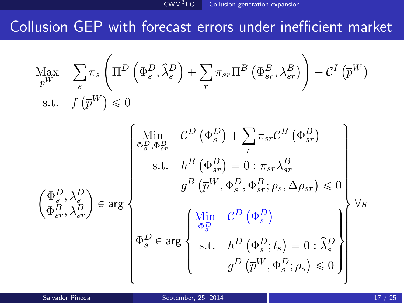#### <span id="page-16-0"></span>Collusion GEP with forecast errors under inefficient market

$$
\begin{aligned}\n\text{Max} \quad & \sum_{s} \pi_{s} \left( \Pi^{D} \left( \Phi_{s}^{D}, \hat{\lambda}_{s}^{D} \right) + \sum_{r} \pi_{sr} \Pi^{B} \left( \Phi_{sr}^{B}, \lambda_{sr}^{B} \right) \right) - \mathcal{C}^{I} \left( \overline{p}^{W} \right) \\
\text{s.t.} \quad & f \left( \overline{p}^{W} \right) \leq 0 \\
& \left( \begin{array}{cc}\n\text{Min} & \mathcal{C}^{D} \left( \Phi_{s}^{D} \right) + \sum_{r} \pi_{sr} \mathcal{C}^{B} \left( \Phi_{sr}^{B} \right) \\
\Phi_{s}^{D}, \Phi_{sr}^{B} & \mathcal{C}^{B} \left( \Phi_{sr}^{B} \right) \\
\text{s.t.} \quad & h^{B} \left( \Phi_{sr}^{B} \right) = 0 : \pi_{sr} \lambda_{sr}^{B} \\
& g^{B} \left( \overline{p}^{W}, \Phi_{s}^{D}, \Phi_{sr}^{B}; \rho_{s}, \Delta \rho_{sr} \right) \leq 0 \\
\Phi_{sr}^{B}, \lambda_{sr}^{B} \end{array} \right) \\
\begin{pmatrix}\n\Phi_{s}^{D}, & \lambda_{sr}^{D} \\
\Phi_{sr}^{D} \in \text{arg}\n\end{pmatrix}\n\begin{pmatrix}\n\text{Min} & \mathcal{C}^{D} \left( \Phi_{s}^{D} \right) \\
\Phi_{s}^{D} \in \text{arg}\n\end{pmatrix}\n\begin{pmatrix}\n\text{Min} & \mathcal{C}^{D} \left( \Phi_{s}^{D} \right) \\
\Phi_{s}^{D} \in \text{arg}\n\end{pmatrix}\n\begin{pmatrix}\n\text{Min} & \mathcal{C}^{D} \left( \Phi_{s}^{D} \right) \\
\Phi_{s}^{D} \in \text{arg}\n\end{pmatrix}\n\begin{pmatrix}\n\pi_{sr} & \pi_{sr} & \pi_{sr} \\
\pi_{sr} & \pi_{sr} & \pi_{sr} \\
\pi_{sr} & \pi_{sr} & \pi_{sr} \\
\pi_{sr} & \pi_{sr} & \pi_{sr} \\
\pi_{sr} & \pi_{sr} & \pi_{sr} \\
$$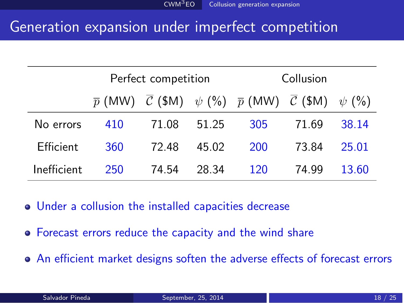#### <span id="page-17-0"></span>Generation expansion under imperfect competition

|             | Perfect competition |       |       | Collusion                                                                                               |       |       |
|-------------|---------------------|-------|-------|---------------------------------------------------------------------------------------------------------|-------|-------|
|             |                     |       |       | $\overline{p}$ (MW) $\overline{C}$ (\$M) $\psi$ (%) $\overline{p}$ (MW) $\overline{C}$ (\$M) $\psi$ (%) |       |       |
| No errors   | 410                 | 71.08 | 51.25 | 305                                                                                                     | 71.69 | 38.14 |
| Efficient   | 360                 | 72.48 | 45.02 | 200                                                                                                     | 73.84 | 25.01 |
| Inefficient | 250                 | 74.54 | 28.34 | 120                                                                                                     | 74.99 | 13.60 |

- Under a collusion the installed capacities decrease
- Forecast errors reduce the capacity and the wind share
- An efficient market designs soften the adverse effects of forecast errors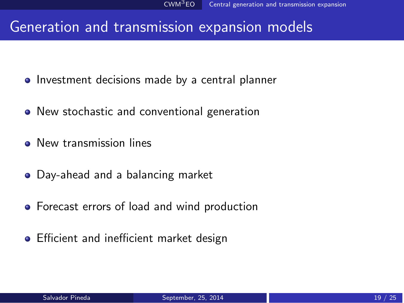#### <span id="page-18-0"></span>Generation and transmission expansion models

- **•** Investment decisions made by a central planner
- New stochastic and conventional generation
- **•** New transmission lines
- Day-ahead and a balancing market
- **•** Forecast errors of load and wind production
- **•** Efficient and inefficient market design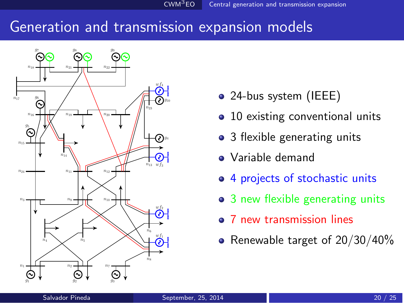#### <span id="page-19-0"></span>Generation and transmission expansion models



- 24-bus system (IEEE)
- 10 existing conventional units
- 3 flexible generating units
- Variable demand
- 4 projects of stochastic units
- 3 new flexible generating units
- 7 new transmission lines
- Renewable target of  $20/30/40\%$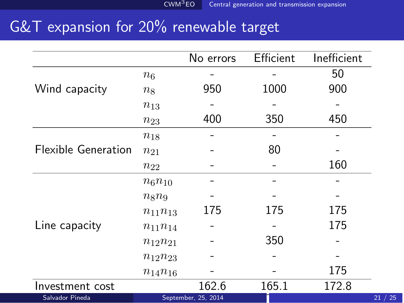### <span id="page-20-0"></span>G&T expansion for 20% renewable target

|                            |                | No errors           | Efficient | Inefficient |
|----------------------------|----------------|---------------------|-----------|-------------|
|                            | $n_6$          |                     |           | 50          |
| Wind capacity              | $n_8$          | 950                 | 1000      | 900         |
|                            | $n_{13}$       |                     |           |             |
|                            | $n_{23}$       | 400                 | 350       | 450         |
|                            | $n_{18}$       |                     |           |             |
| <b>Flexible Generation</b> | $n_{21}$       |                     | 80        |             |
|                            | $n_{22}$       |                     |           | 160         |
|                            | $n_6 n_{10}$   |                     |           |             |
|                            | $n_8$ $n_9$    |                     |           |             |
|                            | $n_{11}n_{13}$ | 175                 | 175       | 175         |
| Line capacity              | $n_{11}n_{14}$ |                     |           | 175         |
|                            | $n_{12}n_{21}$ |                     | 350       |             |
|                            | $n_{12}n_{23}$ |                     |           |             |
|                            | $n_{14}n_{16}$ |                     |           | 175         |
| Investment cost            |                | 162.6               | 165.1     | 172.8       |
| Salvador Pineda            |                | September, 25, 2014 |           |             |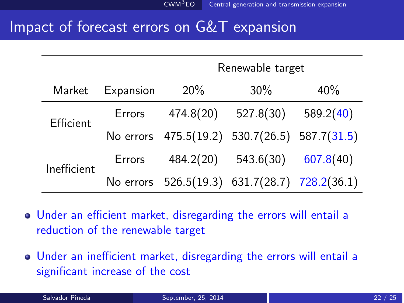#### <span id="page-21-0"></span>Impact of forecast errors on G&T expansion

|             |           | Renewable target                              |           |           |  |
|-------------|-----------|-----------------------------------------------|-----------|-----------|--|
| Market      | Expansion | 20%                                           | $30\%$    | 40%       |  |
| Efficient   | Errors    | 474.8(20)                                     | 527.8(30) | 589.2(40) |  |
|             |           | No errors 475.5(19.2) 530.7(26.5) 587.7(31.5) |           |           |  |
| Inefficient | Errors    | 484.2(20)                                     | 543.6(30) | 607.8(40) |  |
|             |           | No errors 526.5(19.3) 631.7(28.7) 728.2(36.1) |           |           |  |

- Under an efficient market, disregarding the errors will entail a reduction of the renewable target
- Under an inefficient market, disregarding the errors will entail a significant increase of the cost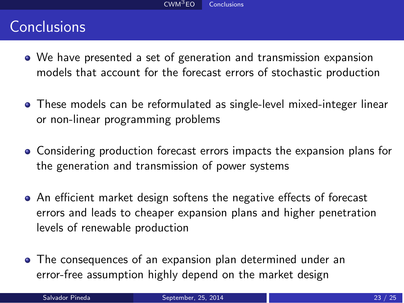#### <span id="page-22-0"></span>**Conclusions**

- We have presented a set of generation and transmission expansion models that account for the forecast errors of stochastic production
- These models can be reformulated as single-level mixed-integer linear or non-linear programming problems
- Considering production forecast errors impacts the expansion plans for the generation and transmission of power systems
- An efficient market design softens the negative effects of forecast errors and leads to cheaper expansion plans and higher penetration levels of renewable production
- The consequences of an expansion plan determined under an error-free assumption highly depend on the market design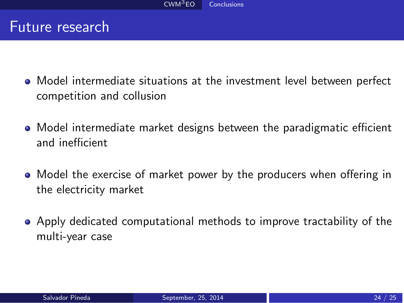#### <span id="page-23-0"></span>Future research

- Model intermediate situations at the investment level between perfect competition and collusion
- Model intermediate market designs between the paradigmatic efficient and inefficient
- Model the exercise of market power by the producers when offering in the electricity market
- Apply dedicated computational methods to improve tractability of the multi-year case